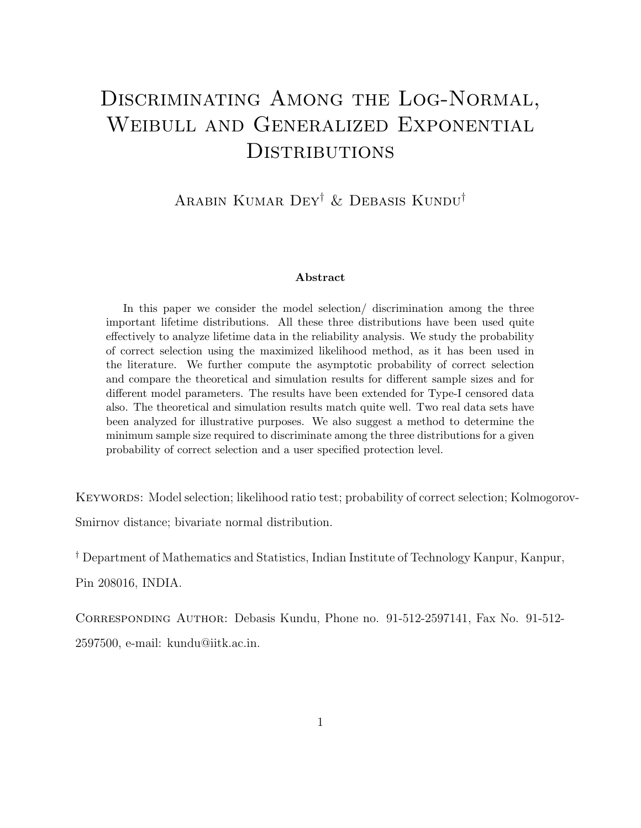# Discriminating Among the Log-Normal, Weibull and Generalized Exponential **DISTRIBUTIONS**

Arabin Kumar Dey† & Debasis Kundu†

#### Abstract

In this paper we consider the model selection/ discrimination among the three important lifetime distributions. All these three distributions have been used quite effectively to analyze lifetime data in the reliability analysis. We study the probability of correct selection using the maximized likelihood method, as it has been used in the literature. We further compute the asymptotic probability of correct selection and compare the theoretical and simulation results for different sample sizes and for different model parameters. The results have been extended for Type-I censored data also. The theoretical and simulation results match quite well. Two real data sets have been analyzed for illustrative purposes. We also suggest a method to determine the minimum sample size required to discriminate among the three distributions for a given probability of correct selection and a user specified protection level.

KEYWORDS: Model selection; likelihood ratio test; probability of correct selection; Kolmogorov-Smirnov distance; bivariate normal distribution.

† Department of Mathematics and Statistics, Indian Institute of Technology Kanpur, Kanpur, Pin 208016, INDIA.

Corresponding Author: Debasis Kundu, Phone no. 91-512-2597141, Fax No. 91-512- 2597500, e-mail: kundu@iitk.ac.in.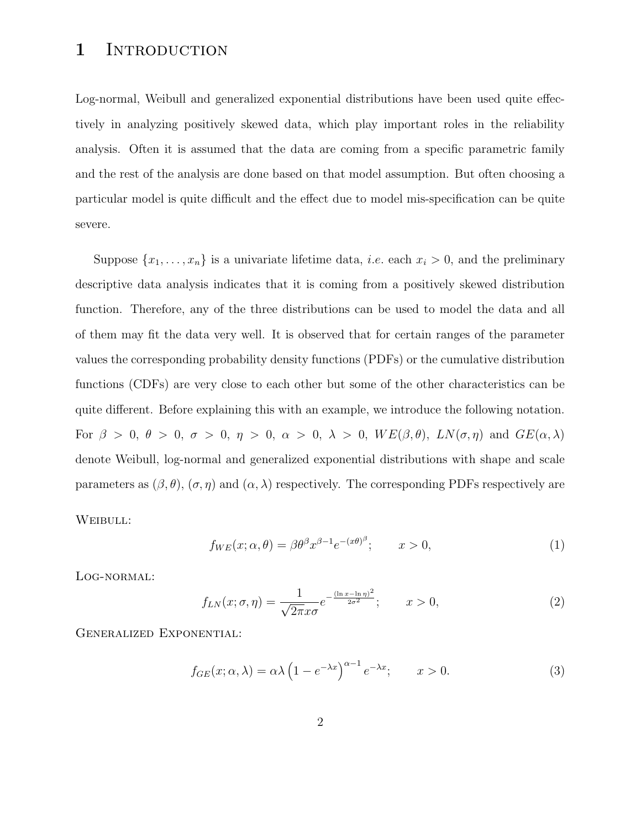#### 1 INTRODUCTION

Log-normal, Weibull and generalized exponential distributions have been used quite effectively in analyzing positively skewed data, which play important roles in the reliability analysis. Often it is assumed that the data are coming from a specific parametric family and the rest of the analysis are done based on that model assumption. But often choosing a particular model is quite difficult and the effect due to model mis-specification can be quite severe.

Suppose  $\{x_1, \ldots, x_n\}$  is a univariate lifetime data, *i.e.* each  $x_i > 0$ , and the preliminary descriptive data analysis indicates that it is coming from a positively skewed distribution function. Therefore, any of the three distributions can be used to model the data and all of them may fit the data very well. It is observed that for certain ranges of the parameter values the corresponding probability density functions (PDFs) or the cumulative distribution functions (CDFs) are very close to each other but some of the other characteristics can be quite different. Before explaining this with an example, we introduce the following notation. For  $\beta > 0$ ,  $\theta > 0$ ,  $\sigma > 0$ ,  $\eta > 0$ ,  $\alpha > 0$ ,  $\lambda > 0$ ,  $WE(\beta, \theta)$ ,  $LN(\sigma, \eta)$  and  $GE(\alpha, \lambda)$ denote Weibull, log-normal and generalized exponential distributions with shape and scale parameters as  $(\beta, \theta)$ ,  $(\sigma, \eta)$  and  $(\alpha, \lambda)$  respectively. The corresponding PDFs respectively are

WEIBULL:

$$
f_{WE}(x; \alpha, \theta) = \beta \theta^{\beta} x^{\beta - 1} e^{-(x\theta)^{\beta}}; \qquad x > 0,
$$
\n(1)

Log-normal:

$$
f_{LN}(x;\sigma,\eta) = \frac{1}{\sqrt{2\pi}x\sigma}e^{-\frac{(\ln x - \ln \eta)^2}{2\sigma^2}}; \qquad x > 0,
$$
\n
$$
(2)
$$

Generalized Exponential:

$$
f_{GE}(x; \alpha, \lambda) = \alpha \lambda \left( 1 - e^{-\lambda x} \right)^{\alpha - 1} e^{-\lambda x}; \qquad x > 0.
$$
 (3)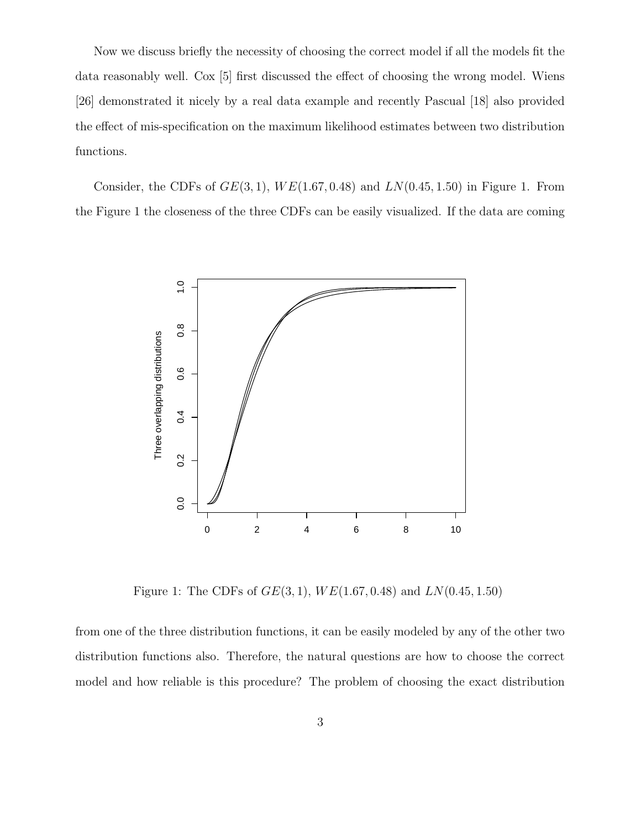Now we discuss briefly the necessity of choosing the correct model if all the models fit the data reasonably well. Cox [5] first discussed the effect of choosing the wrong model. Wiens [26] demonstrated it nicely by a real data example and recently Pascual [18] also provided the effect of mis-specification on the maximum likelihood estimates between two distribution functions.

Consider, the CDFs of  $GE(3, 1)$ ,  $WE(1.67, 0.48)$  and  $LN(0.45, 1.50)$  in Figure 1. From the Figure 1 the closeness of the three CDFs can be easily visualized. If the data are coming



Figure 1: The CDFs of  $GE(3, 1)$ ,  $WE(1.67, 0.48)$  and  $LN(0.45, 1.50)$ 

from one of the three distribution functions, it can be easily modeled by any of the other two distribution functions also. Therefore, the natural questions are how to choose the correct model and how reliable is this procedure? The problem of choosing the exact distribution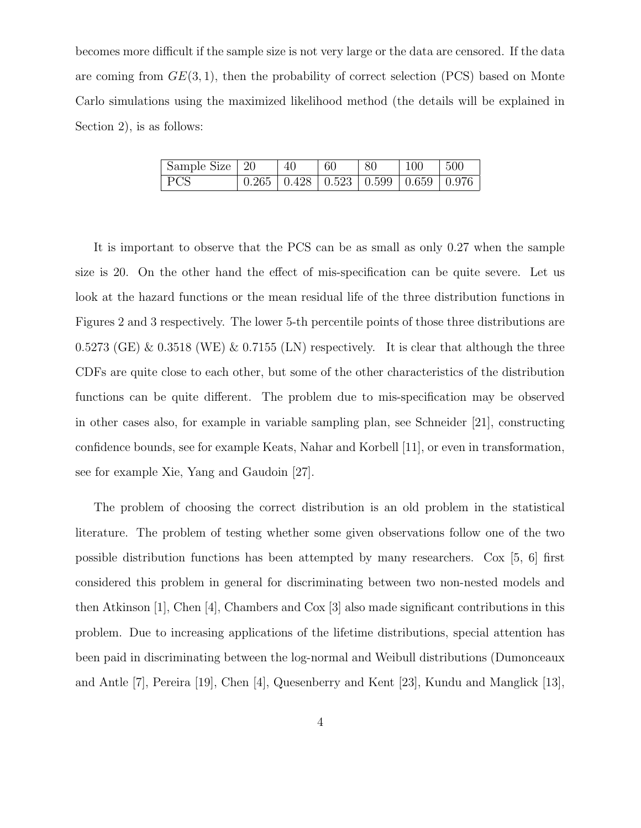becomes more difficult if the sample size is not very large or the data are censored. If the data are coming from  $GE(3, 1)$ , then the probability of correct selection (PCS) based on Monte Carlo simulations using the maximized likelihood method (the details will be explained in Section 2), is as follows:

| Sample Size   20 | 40 | 60 | -80                                                                       | 100 | $-500$ |
|------------------|----|----|---------------------------------------------------------------------------|-----|--------|
| <b>PCS</b>       |    |    | $\vert 0.265 \vert 0.428 \vert 0.523 \vert 0.599 \vert 0.659 \vert 0.976$ |     |        |

It is important to observe that the PCS can be as small as only 0.27 when the sample size is 20. On the other hand the effect of mis-specification can be quite severe. Let us look at the hazard functions or the mean residual life of the three distribution functions in Figures 2 and 3 respectively. The lower 5-th percentile points of those three distributions are 0.5273 (GE) & 0.3518 (WE) & 0.7155 (LN) respectively. It is clear that although the three CDFs are quite close to each other, but some of the other characteristics of the distribution functions can be quite different. The problem due to mis-specification may be observed in other cases also, for example in variable sampling plan, see Schneider [21], constructing confidence bounds, see for example Keats, Nahar and Korbell [11], or even in transformation, see for example Xie, Yang and Gaudoin [27].

The problem of choosing the correct distribution is an old problem in the statistical literature. The problem of testing whether some given observations follow one of the two possible distribution functions has been attempted by many researchers. Cox [5, 6] first considered this problem in general for discriminating between two non-nested models and then Atkinson [1], Chen [4], Chambers and Cox [3] also made significant contributions in this problem. Due to increasing applications of the lifetime distributions, special attention has been paid in discriminating between the log-normal and Weibull distributions (Dumonceaux and Antle [7], Pereira [19], Chen [4], Quesenberry and Kent [23], Kundu and Manglick [13],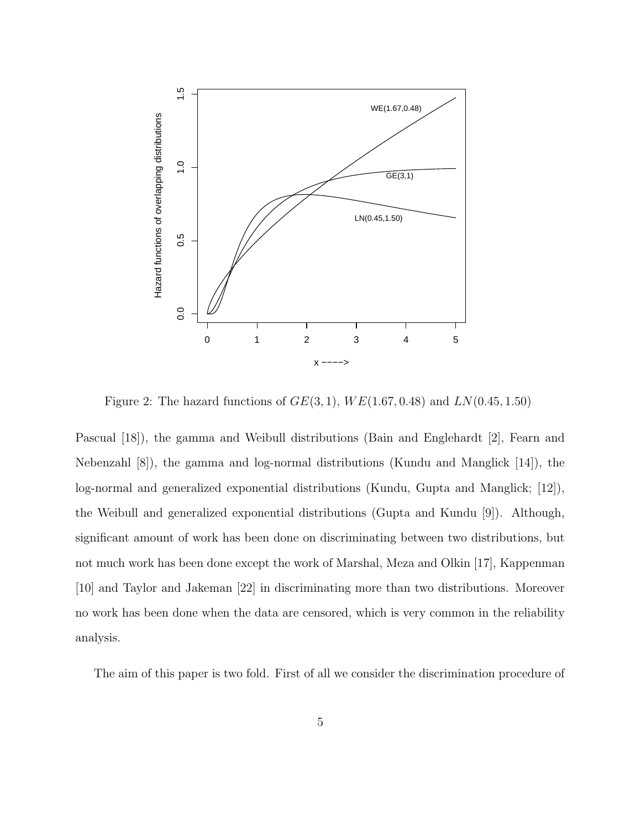

Figure 2: The hazard functions of  $GE(3,1)$ ,  $WE(1.67, 0.48)$  and  $LN(0.45, 1.50)$ 

Pascual [18]), the gamma and Weibull distributions (Bain and Englehardt [2], Fearn and Nebenzahl [8]), the gamma and log-normal distributions (Kundu and Manglick [14]), the log-normal and generalized exponential distributions (Kundu, Gupta and Manglick; [12]), the Weibull and generalized exponential distributions (Gupta and Kundu [9]). Although, significant amount of work has been done on discriminating between two distributions, but not much work has been done except the work of Marshal, Meza and Olkin [17], Kappenman [10] and Taylor and Jakeman [22] in discriminating more than two distributions. Moreover no work has been done when the data are censored, which is very common in the reliability analysis.

The aim of this paper is two fold. First of all we consider the discrimination procedure of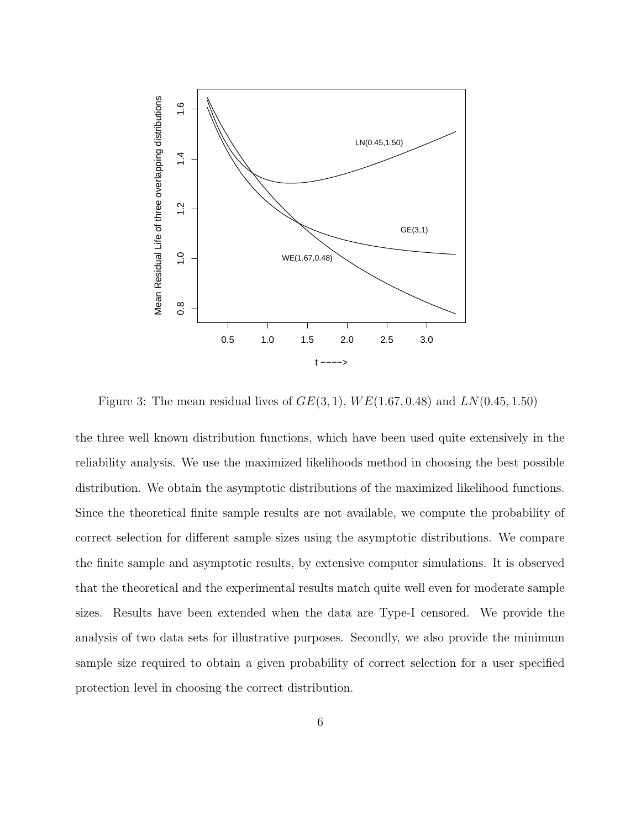

Figure 3: The mean residual lives of  $GE(3, 1)$ ,  $WE(1.67, 0.48)$  and  $LN(0.45, 1.50)$ 

the three well known distribution functions, which have been used quite extensively in the reliability analysis. We use the maximized likelihoods method in choosing the best possible distribution. We obtain the asymptotic distributions of the maximized likelihood functions. Since the theoretical finite sample results are not available, we compute the probability of correct selection for different sample sizes using the asymptotic distributions. We compare the finite sample and asymptotic results, by extensive computer simulations. It is observed that the theoretical and the experimental results match quite well even for moderate sample sizes. Results have been extended when the data are Type-I censored. We provide the analysis of two data sets for illustrative purposes. Secondly, we also provide the minimum sample size required to obtain a given probability of correct selection for a user specified protection level in choosing the correct distribution.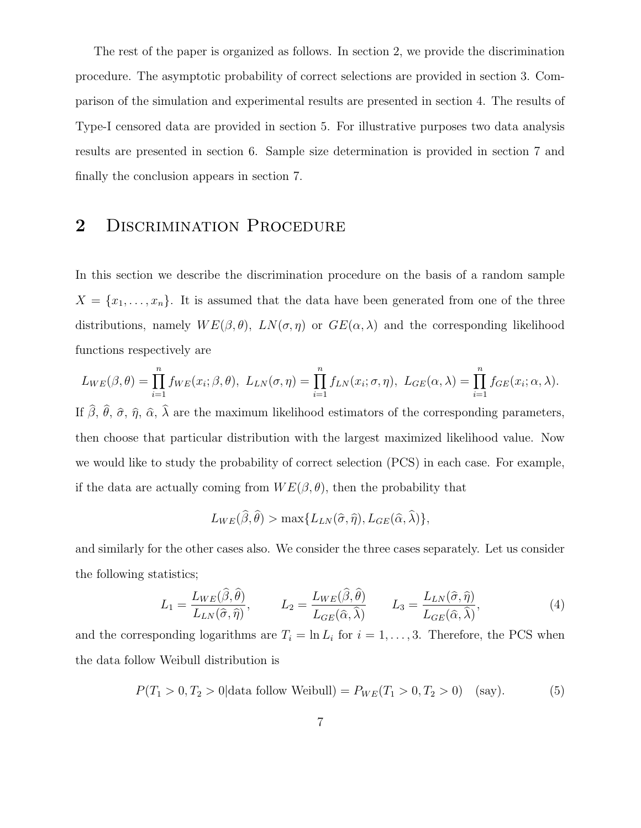The rest of the paper is organized as follows. In section 2, we provide the discrimination procedure. The asymptotic probability of correct selections are provided in section 3. Comparison of the simulation and experimental results are presented in section 4. The results of Type-I censored data are provided in section 5. For illustrative purposes two data analysis results are presented in section 6. Sample size determination is provided in section 7 and finally the conclusion appears in section 7.

#### 2 DISCRIMINATION PROCEDURE

In this section we describe the discrimination procedure on the basis of a random sample  $X = \{x_1, \ldots, x_n\}$ . It is assumed that the data have been generated from one of the three distributions, namely  $WE(\beta, \theta)$ ,  $LN(\sigma, \eta)$  or  $GE(\alpha, \lambda)$  and the corresponding likelihood functions respectively are

$$
L_{WE}(\beta,\theta) = \prod_{i=1}^{n} f_{WE}(x_i;\beta,\theta), \ L_{LN}(\sigma,\eta) = \prod_{i=1}^{n} f_{LN}(x_i;\sigma,\eta), \ L_{GE}(\alpha,\lambda) = \prod_{i=1}^{n} f_{GE}(x_i;\alpha,\lambda).
$$

If  $\beta$ ,  $\theta$ ,  $\hat{\sigma}$ ,  $\hat{\eta}$ ,  $\hat{\alpha}$ ,  $\lambda$  are the maximum likelihood estimators of the corresponding parameters, then choose that particular distribution with the largest maximized likelihood value. Now we would like to study the probability of correct selection (PCS) in each case. For example, if the data are actually coming from  $WE(\beta, \theta)$ , then the probability that

$$
L_{WE}(\widehat{\beta}, \widehat{\theta}) > \max\{L_{LN}(\widehat{\sigma}, \widehat{\eta}), L_{GE}(\widehat{\alpha}, \widehat{\lambda})\},\
$$

and similarly for the other cases also. We consider the three cases separately. Let us consider the following statistics;

$$
L_1 = \frac{L_{WE}(\hat{\beta}, \hat{\theta})}{L_{LN}(\hat{\sigma}, \hat{\eta})}, \qquad L_2 = \frac{L_{WE}(\hat{\beta}, \hat{\theta})}{L_{GE}(\hat{\alpha}, \hat{\lambda})} \qquad L_3 = \frac{L_{LN}(\hat{\sigma}, \hat{\eta})}{L_{GE}(\hat{\alpha}, \hat{\lambda})}, \tag{4}
$$

and the corresponding logarithms are  $T_i = \ln L_i$  for  $i = 1, ..., 3$ . Therefore, the PCS when the data follow Weibull distribution is

$$
P(T_1 > 0, T_2 > 0 | \text{data follow Weibull}) = P_{WE}(T_1 > 0, T_2 > 0) \quad \text{(say)}.
$$
 (5)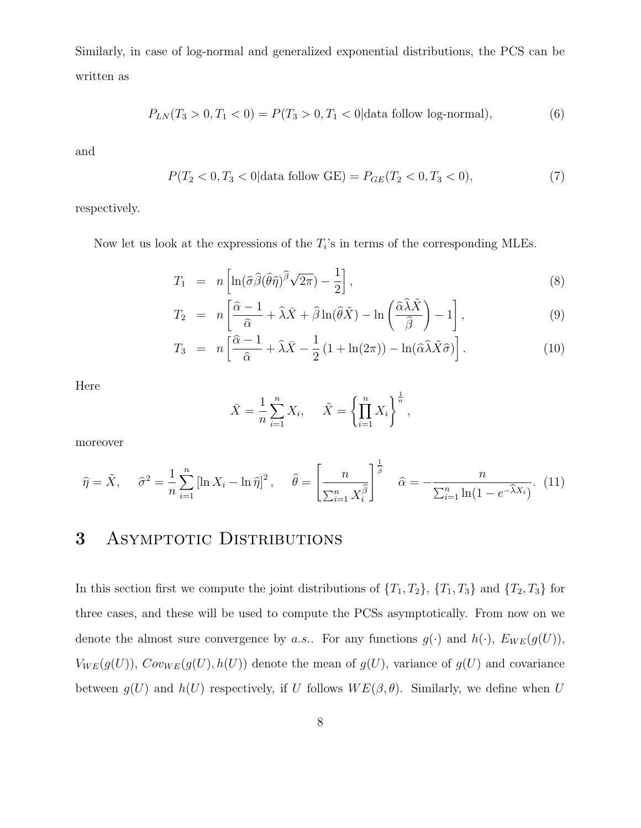Similarly, in case of log-normal and generalized exponential distributions, the PCS can be written as

$$
P_{LN}(T_3 > 0, T_1 < 0) = P(T_3 > 0, T_1 < 0 | \text{data follow log-normal}), \tag{6}
$$

and

$$
P(T_2 < 0, T_3 < 0 | \text{data follow GE}) = P_{GE}(T_2 < 0, T_3 < 0),\tag{7}
$$

respectively.

Now let us look at the expressions of the  $T_i$ 's in terms of the corresponding MLEs.

$$
T_1 = n \left[ \ln(\hat{\sigma}\hat{\beta}(\hat{\theta}\hat{\eta})^{\hat{\beta}}\sqrt{2\pi}) - \frac{1}{2} \right],
$$
\n(8)

$$
T_2 = n \left[ \frac{\hat{\alpha} - 1}{\hat{\alpha}} + \hat{\lambda} \bar{X} + \hat{\beta} \ln(\hat{\theta} \tilde{X}) - \ln\left(\frac{\hat{\alpha} \hat{\lambda} \tilde{X}}{\hat{\beta}}\right) - 1 \right],
$$
\n(9)

$$
T_3 = n \left[ \frac{\hat{\alpha} - 1}{\hat{\alpha}} + \hat{\lambda} \bar{X} - \frac{1}{2} (1 + \ln(2\pi)) - \ln(\hat{\alpha} \hat{\lambda} \tilde{X} \hat{\sigma}) \right]. \tag{10}
$$

Here

$$
\bar{X} = \frac{1}{n} \sum_{i=1}^{n} X_i, \quad \tilde{X} = \left\{ \prod_{i=1}^{n} X_i \right\}^{\frac{1}{n}},
$$

moreover

$$
\widehat{\eta} = \tilde{X}, \quad \widehat{\sigma}^2 = \frac{1}{n} \sum_{i=1}^n \left[ \ln X_i - \ln \widehat{\eta} \right]^2, \quad \widehat{\theta} = \left[ \frac{n}{\sum_{i=1}^n X_i^{\widehat{\beta}}} \right]^{\frac{1}{\widehat{\beta}}} \quad \widehat{\alpha} = -\frac{n}{\sum_{i=1}^n \ln(1 - e^{-\widehat{\lambda}X_i})}. \tag{11}
$$

### 3 ASYMPTOTIC DISTRIBUTIONS

In this section first we compute the joint distributions of  $\{T_1, T_2\}$ ,  $\{T_1, T_3\}$  and  $\{T_2, T_3\}$  for three cases, and these will be used to compute the PCSs asymptotically. From now on we denote the almost sure convergence by a.s.. For any functions  $g(\cdot)$  and  $h(\cdot)$ ,  $E_{WE}(g(U))$ ,  $V_{WE}(g(U)), \, Cov_{WE}(g(U), h(U))$  denote the mean of  $g(U)$ , variance of  $g(U)$  and covariance between  $g(U)$  and  $h(U)$  respectively, if U follows  $WE(\beta, \theta)$ . Similarly, we define when U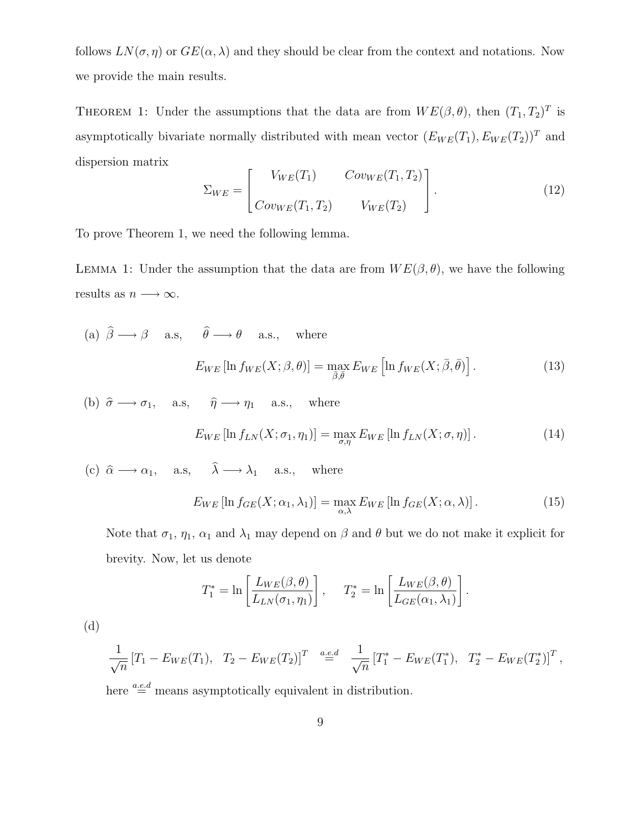follows  $LN(\sigma, \eta)$  or  $GE(\alpha, \lambda)$  and they should be clear from the context and notations. Now we provide the main results.

THEOREM 1: Under the assumptions that the data are from  $WE(\beta, \theta)$ , then  $(T_1, T_2)^T$  is asymptotically bivariate normally distributed with mean vector  $(E_{WE}(T_1), E_{WE}(T_2))^T$  and dispersion matrix

$$
\Sigma_{WE} = \begin{bmatrix} V_{WE}(T_1) & Cov_{WE}(T_1, T_2) \\ Cov_{WE}(T_1, T_2) & V_{WE}(T_2) \end{bmatrix} . \tag{12}
$$

To prove Theorem 1, we need the following lemma.

LEMMA 1: Under the assumption that the data are from  $WE(\beta, \theta)$ , we have the following results as  $n \longrightarrow \infty$ .

(a)  $\hat{\beta} \longrightarrow \beta$  a.s,  $\hat{\theta} \longrightarrow \theta$  a.s., where  $E_{WE}[\ln f_{WE}(X;\beta,\theta)] = \max_{\bar{\beta},\bar{\theta}} E_{WE} [\ln f_{WE}(X;\bar{\beta},\bar{\theta})]$  $(13)$ 

(b)  $\hat{\sigma} \longrightarrow \sigma_1$ , a.s,  $\hat{\eta} \longrightarrow \eta_1$  a.s., where

$$
E_{WE}\left[\ln f_{LN}(X;\sigma_1,\eta_1)\right] = \max_{\sigma,\eta} E_{WE}\left[\ln f_{LN}(X;\sigma,\eta)\right].
$$
 (14)

(c)  $\hat{\alpha} \longrightarrow \alpha_1$ , a.s,  $\hat{\lambda} \longrightarrow \lambda_1$  a.s., where

$$
E_{WE}\left[\ln f_{GE}(X;\alpha_1,\lambda_1)\right] = \max_{\alpha,\lambda} E_{WE}\left[\ln f_{GE}(X;\alpha,\lambda)\right].
$$
 (15)

Note that  $\sigma_1$ ,  $\eta_1$ ,  $\alpha_1$  and  $\lambda_1$  may depend on  $\beta$  and  $\theta$  but we do not make it explicit for brevity. Now, let us denote

$$
T_1^* = \ln\left[\frac{L_{WE}(\beta,\theta)}{L_{LN}(\sigma_1,\eta_1)}\right], \quad T_2^* = \ln\left[\frac{L_{WE}(\beta,\theta)}{L_{GE}(\alpha_1,\lambda_1)}\right].
$$

(d)

$$
\frac{1}{\sqrt{n}} [T_1 - E_{WE}(T_1), T_2 - E_{WE}(T_2)]^T \stackrel{a.e.d}{=} \frac{1}{\sqrt{n}} [T_1^* - E_{WE}(T_1^*), T_2^* - E_{WE}(T_2^*)]^T,
$$

here  $\overset{a.e.d}{=}$  means asymptotically equivalent in distribution.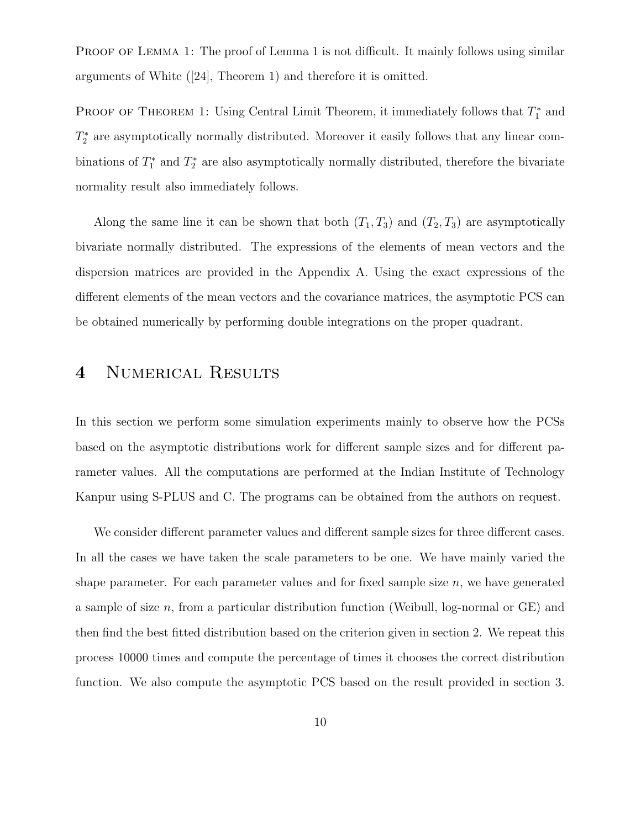PROOF OF LEMMA 1: The proof of Lemma 1 is not difficult. It mainly follows using similar arguments of White ([24], Theorem 1) and therefore it is omitted.

**PROOF OF THEOREM 1:** Using Central Limit Theorem, it immediately follows that  $T_1^*$  and  $T_2^*$  are asymptotically normally distributed. Moreover it easily follows that any linear combinations of  $T_1^*$  and  $T_2^*$  are also asymptotically normally distributed, therefore the bivariate normality result also immediately follows.

Along the same line it can be shown that both  $(T_1, T_3)$  and  $(T_2, T_3)$  are asymptotically bivariate normally distributed. The expressions of the elements of mean vectors and the dispersion matrices are provided in the Appendix A. Using the exact expressions of the different elements of the mean vectors and the covariance matrices, the asymptotic PCS can be obtained numerically by performing double integrations on the proper quadrant.

## 4 Numerical Results

In this section we perform some simulation experiments mainly to observe how the PCSs based on the asymptotic distributions work for different sample sizes and for different parameter values. All the computations are performed at the Indian Institute of Technology Kanpur using S-PLUS and C. The programs can be obtained from the authors on request.

We consider different parameter values and different sample sizes for three different cases. In all the cases we have taken the scale parameters to be one. We have mainly varied the shape parameter. For each parameter values and for fixed sample size  $n$ , we have generated a sample of size n, from a particular distribution function (Weibull, log-normal or  $GE$ ) and then find the best fitted distribution based on the criterion given in section 2. We repeat this process 10000 times and compute the percentage of times it chooses the correct distribution function. We also compute the asymptotic PCS based on the result provided in section 3.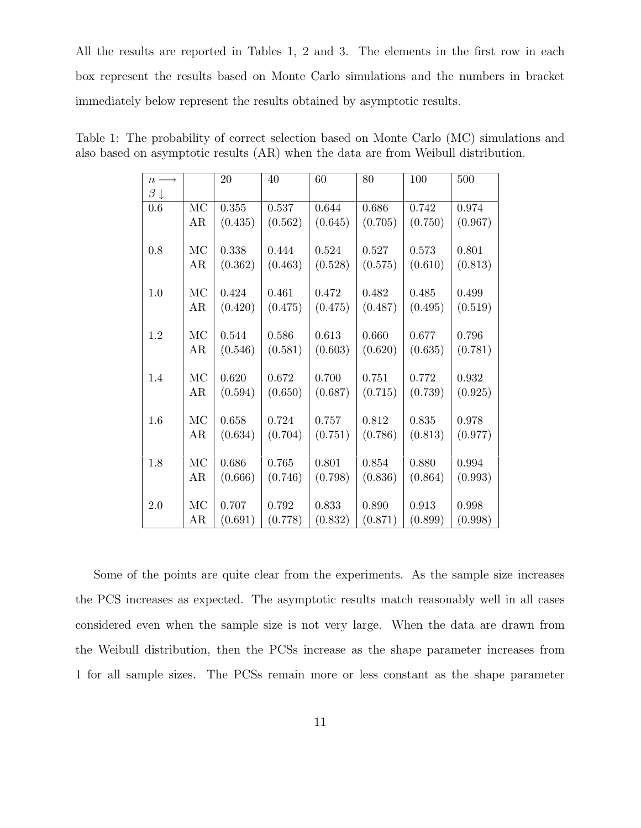All the results are reported in Tables 1, 2 and 3. The elements in the first row in each box represent the results based on Monte Carlo simulations and the numbers in bracket immediately below represent the results obtained by asymptotic results.

| $n \longrightarrow$ |                        | 20      | 40      | 60      | 80      | 100     | 500     |
|---------------------|------------------------|---------|---------|---------|---------|---------|---------|
| $\beta \downarrow$  |                        |         |         |         |         |         |         |
| 0.6                 | $\overline{\text{MC}}$ | 0.355   | 0.537   | 0.644   | 0.686   | 0.742   | 0.974   |
|                     | AR                     | (0.435) | (0.562) | (0.645) | (0.705) | (0.750) | (0.967) |
|                     |                        |         |         |         |         |         |         |
| 0.8                 | MC                     | 0.338   | 0.444   | 0.524   | 0.527   | 0.573   | 0.801   |
|                     | AR                     | (0.362) | (0.463) | (0.528) | (0.575) | (0.610) | (0.813) |
|                     |                        |         |         |         |         |         |         |
| 1.0                 | MC                     | 0.424   | 0.461   | 0.472   | 0.482   | 0.485   | 0.499   |
|                     | AR                     | (0.420) | (0.475) | (0.475) | (0.487) | (0.495) | (0.519) |
|                     |                        |         |         |         |         |         |         |
| 1.2                 | MC                     | 0.544   | 0.586   | 0.613   | 0.660   | 0.677   | 0.796   |
|                     | AR                     | (0.546) | (0.581) | (0.603) | (0.620) | (0.635) | (0.781) |
|                     |                        |         |         |         |         |         |         |
| 1.4                 | MC                     | 0.620   | 0.672   | 0.700   | 0.751   | 0.772   | 0.932   |
|                     | AR                     | (0.594) | (0.650) | (0.687) | (0.715) | (0.739) | (0.925) |
|                     |                        |         |         |         |         |         |         |
| 1.6                 | MC                     | 0.658   | 0.724   | 0.757   | 0.812   | 0.835   | 0.978   |
|                     | AR                     | (0.634) | (0.704) | (0.751) | (0.786) | (0.813) | (0.977) |
| 1.8                 | MC                     | 0.686   | 0.765   | 0.801   | 0.854   | 0.880   | 0.994   |
|                     | AR                     | (0.666) |         | (0.798) |         | (0.864) | (0.993) |
|                     |                        |         | (0.746) |         | (0.836) |         |         |
| 2.0                 | MC                     | 0.707   | 0.792   | 0.833   | 0.890   | 0.913   | 0.998   |
|                     | AR                     | (0.691) | (0.778) | (0.832) | (0.871) | (0.899) | (0.998) |
|                     |                        |         |         |         |         |         |         |

Table 1: The probability of correct selection based on Monte Carlo (MC) simulations and also based on asymptotic results (AR) when the data are from Weibull distribution.

Some of the points are quite clear from the experiments. As the sample size increases the PCS increases as expected. The asymptotic results match reasonably well in all cases considered even when the sample size is not very large. When the data are drawn from the Weibull distribution, then the PCSs increase as the shape parameter increases from 1 for all sample sizes. The PCSs remain more or less constant as the shape parameter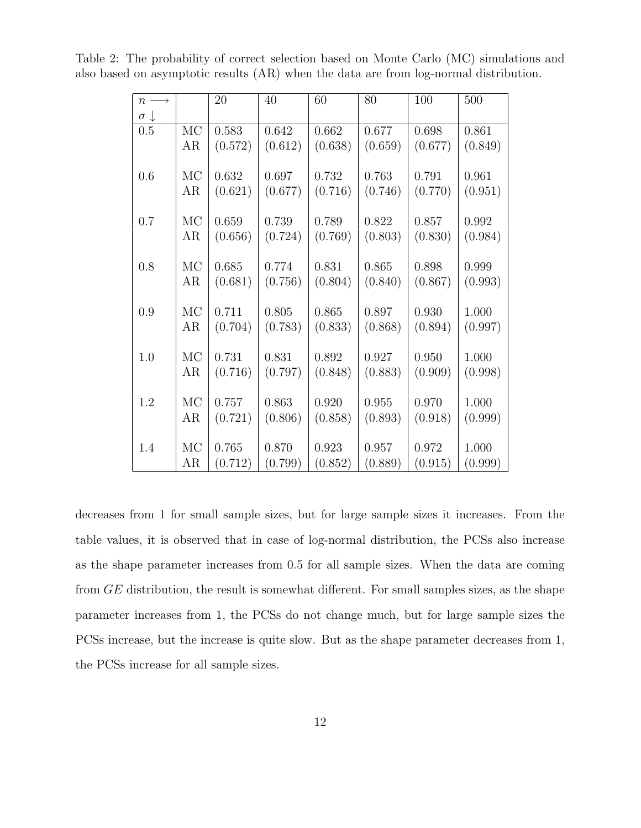| $n \longrightarrow$ |           | 20      | 40      | 60          | 80      | 100     | 500     |
|---------------------|-----------|---------|---------|-------------|---------|---------|---------|
| $\sigma \downarrow$ |           |         |         |             |         |         |         |
| 0.5                 | <b>MC</b> | 0.583   | 0.642   | 0.662       | 0.677   | 0.698   | 0.861   |
|                     | AR        | (0.572) | (0.612) | (0.638)     | (0.659) | (0.677) | (0.849) |
| 0.6                 | MC        | 0.632   | 0.697   | 0.732       | 0.763   | 0.791   | 0.961   |
|                     | AR        | (0.621) | (0.677) | (0.716)     | (0.746) | (0.770) | (0.951) |
| 0.7                 | MC        | 0.659   | 0.739   | 0.789       | 0.822   | 0.857   | 0.992   |
|                     | AR        | (0.656) | (0.724) | (0.769)     | (0.803) | (0.830) | (0.984) |
| 0.8                 | MC        | 0.685   | 0.774   | 0.831       | 0.865   | 0.898   | 0.999   |
|                     | AR        | (0.681) | (0.756) | (0.804)     | (0.840) | (0.867) | (0.993) |
| 0.9                 | MC        | 0.711   | 0.805   | 0.865       | 0.897   | 0.930   | 1.000   |
|                     | AR        | (0.704) | (0.783) | (0.833)     | (0.868) | (0.894) | (0.997) |
| 1.0                 | MC        | 0.731   | 0.831   | 0.892       | 0.927   | 0.950   | 1.000   |
|                     | AR        | (0.716) | (0.797) | (0.848)     | (0.883) | (0.909) | (0.998) |
| 1.2                 | <b>MC</b> | 0.757   | 0.863   | $0.920\,$   | 0.955   | 0.970   | 1.000   |
|                     | AR        | (0.721) | (0.806) | (0.858)     | (0.893) | (0.918) | (0.999) |
| 1.4                 | MC        | 0.765   | 0.870   | $\,0.923\,$ | 0.957   | 0.972   | 1.000   |
|                     | AR        | (0.712) | (0.799) | (0.852)     | (0.889) | (0.915) | (0.999) |

Table 2: The probability of correct selection based on Monte Carlo (MC) simulations and also based on asymptotic results (AR) when the data are from log-normal distribution.

decreases from 1 for small sample sizes, but for large sample sizes it increases. From the table values, it is observed that in case of log-normal distribution, the PCSs also increase as the shape parameter increases from 0.5 for all sample sizes. When the data are coming from GE distribution, the result is somewhat different. For small samples sizes, as the shape parameter increases from 1, the PCSs do not change much, but for large sample sizes the PCSs increase, but the increase is quite slow. But as the shape parameter decreases from 1, the PCSs increase for all sample sizes.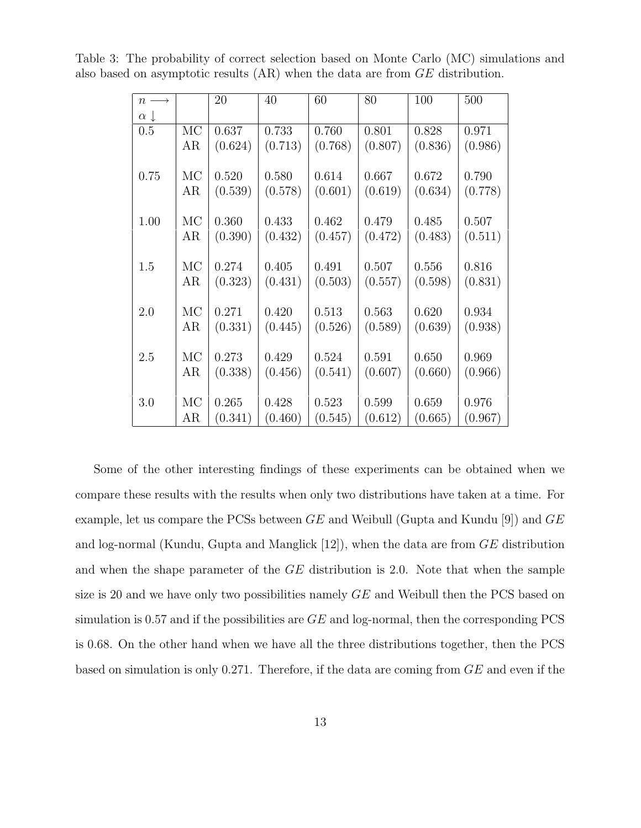| $n \longrightarrow$ |    | 20      | 40      | 60      | 80      | 100     | 500     |
|---------------------|----|---------|---------|---------|---------|---------|---------|
| $\alpha \downarrow$ |    |         |         |         |         |         |         |
| 0.5                 | MC | 0.637   | 0.733   | 0.760   | 0.801   | 0.828   | 0.971   |
|                     | AR | (0.624) | (0.713) | (0.768) | (0.807) | (0.836) | (0.986) |
| 0.75                | MC | 0.520   | 0.580   | 0.614   | 0.667   | 0.672   | 0.790   |
|                     |    |         |         |         |         |         |         |
|                     | AR | (0.539) | (0.578) | (0.601) | (0.619) | (0.634) | (0.778) |
| 1.00                | MC | 0.360   | 0.433   | 0.462   | 0.479   | 0.485   | 0.507   |
|                     | AR | (0.390) | (0.432) | (0.457) | (0.472) | (0.483) | (0.511) |
|                     |    |         |         |         |         |         |         |
| 1.5                 | MC | 0.274   | 0.405   | 0.491   | 0.507   | 0.556   | 0.816   |
|                     | AR | (0.323) | (0.431) | (0.503) | (0.557) | (0.598) | (0.831) |
|                     |    |         |         |         |         |         |         |
| 2.0                 | MC | 0.271   | 0.420   | 0.513   | 0.563   | 0.620   | 0.934   |
|                     | AR | (0.331) | (0.445) | (0.526) | (0.589) | (0.639) | (0.938) |
| 2.5                 | MC | 0.273   | 0.429   | 0.524   | 0.591   |         |         |
|                     |    |         |         |         |         | 0.650   | 0.969   |
|                     | AR | (0.338) | (0.456) | (0.541) | (0.607) | (0.660) | (0.966) |
| 3.0                 | MC | 0.265   | 0.428   | 0.523   | 0.599   | 0.659   | 0.976   |
|                     | AR | (0.341) | (0.460) | (0.545) | (0.612) | (0.665) | (0.967) |

Table 3: The probability of correct selection based on Monte Carlo (MC) simulations and also based on asymptotic results (AR) when the data are from GE distribution.

Some of the other interesting findings of these experiments can be obtained when we compare these results with the results when only two distributions have taken at a time. For example, let us compare the PCSs between  $GE$  and Weibull (Gupta and Kundu [9]) and  $GE$ and log-normal (Kundu, Gupta and Manglick [12]), when the data are from GE distribution and when the shape parameter of the GE distribution is 2.0. Note that when the sample size is 20 and we have only two possibilities namely GE and Weibull then the PCS based on simulation is 0.57 and if the possibilities are  $GE$  and log-normal, then the corresponding PCS is 0.68. On the other hand when we have all the three distributions together, then the PCS based on simulation is only 0.271. Therefore, if the data are coming from GE and even if the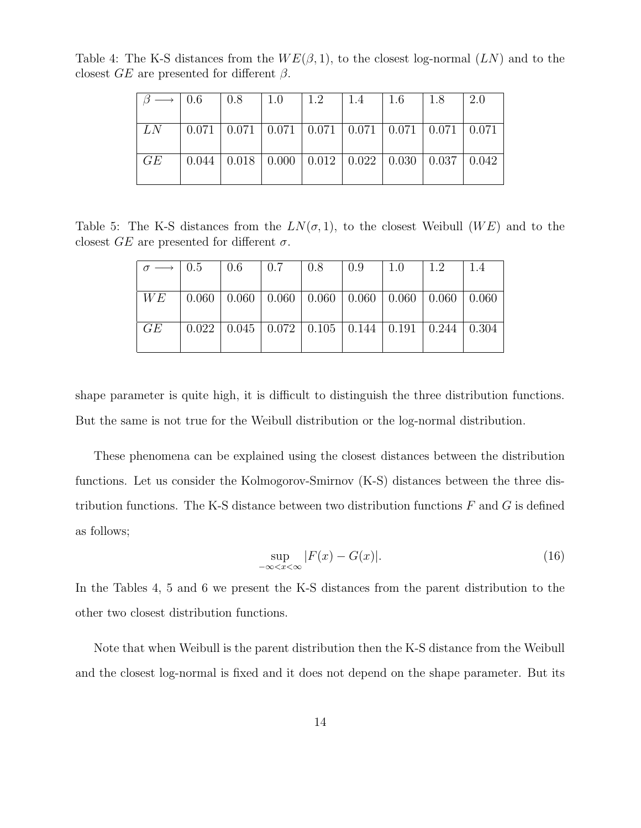Table 4: The K-S distances from the  $WE(\beta, 1)$ , to the closest log-normal  $(LN)$  and to the closest  $GE$  are presented for different  $\beta$ .

| $\longrightarrow$   0.6 |                                                                                           | $\pm 0.8$ | $\vert 1.0 \vert$                                                             | $\pm 1.2$ | $\pm 1.4$ | $\mid$ 1.6 | 1.8 | 2.0 |
|-------------------------|-------------------------------------------------------------------------------------------|-----------|-------------------------------------------------------------------------------|-----------|-----------|------------|-----|-----|
|                         |                                                                                           |           |                                                                               |           |           |            |     |     |
| LN                      | $\mid 0.071 \mid 0.071 \mid 0.071 \mid 0.071 \mid 0.071 \mid 0.071 \mid 0.071 \mid 0.071$ |           |                                                                               |           |           |            |     |     |
|                         |                                                                                           |           |                                                                               |           |           |            |     |     |
| GE                      |                                                                                           |           | $0.044$   $0.018$   $0.000$   $0.012$   $0.022$   $0.030$   $0.037$   $0.042$ |           |           |            |     |     |
|                         |                                                                                           |           |                                                                               |           |           |            |     |     |

Table 5: The K-S distances from the  $LN(\sigma, 1)$ , to the closest Weibull (WE) and to the closest  $GE$  are presented for different  $\sigma$ .

| $\sigma \longrightarrow 0.5$ | $\begin{array}{ c c c c c } \hline 0.6 & 0.7 \ \hline \end{array}$ | 0.8 | 10.9 | $\pm 1.0$ | 11.2                                                                                   | 1.4 |
|------------------------------|--------------------------------------------------------------------|-----|------|-----------|----------------------------------------------------------------------------------------|-----|
|                              |                                                                    |     |      |           |                                                                                        |     |
| WE                           |                                                                    |     |      |           | $(0.060 \mid 0.060 \mid 0.060 \mid 0.060 \mid 0.060 \mid 0.060 \mid 0.060 \mid 0.060)$ |     |
|                              |                                                                    |     |      |           |                                                                                        |     |
| GE                           |                                                                    |     |      |           | $0.022$   $0.045$   $0.072$   $0.105$   $0.144$   $0.191$   $0.244$   $0.304$          |     |
|                              |                                                                    |     |      |           |                                                                                        |     |

shape parameter is quite high, it is difficult to distinguish the three distribution functions. But the same is not true for the Weibull distribution or the log-normal distribution.

These phenomena can be explained using the closest distances between the distribution functions. Let us consider the Kolmogorov-Smirnov (K-S) distances between the three distribution functions. The K-S distance between two distribution functions  $F$  and  $G$  is defined as follows;

$$
\sup_{-\infty < x < \infty} |F(x) - G(x)|.\tag{16}
$$

In the Tables 4, 5 and 6 we present the K-S distances from the parent distribution to the other two closest distribution functions.

Note that when Weibull is the parent distribution then the K-S distance from the Weibull and the closest log-normal is fixed and it does not depend on the shape parameter. But its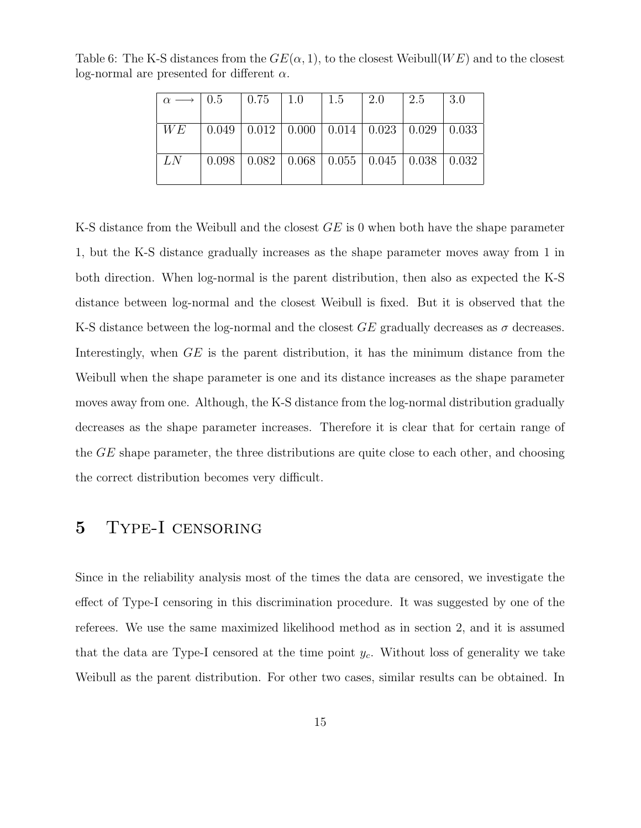| $\alpha \longrightarrow 0.5$ | $\begin{array}{ c c c c c } \hline 0.75 & 1.0 \\ \hline \end{array}$ | 1.5 | 2.0                                                                 | 2.5 | 3.0 |
|------------------------------|----------------------------------------------------------------------|-----|---------------------------------------------------------------------|-----|-----|
|                              |                                                                      |     |                                                                     |     |     |
| WE                           |                                                                      |     | $0.049$   $0.012$   $0.000$   $0.014$   $0.023$   $0.029$   $0.033$ |     |     |
|                              |                                                                      |     |                                                                     |     |     |
| LN                           |                                                                      |     | $0.098$   $0.082$   $0.068$   $0.055$   $0.045$   $0.038$   $0.032$ |     |     |
|                              |                                                                      |     |                                                                     |     |     |

Table 6: The K-S distances from the  $GE(\alpha, 1)$ , to the closest Weibull(WE) and to the closest log-normal are presented for different  $\alpha$ .

K-S distance from the Weibull and the closest  $GE$  is 0 when both have the shape parameter 1, but the K-S distance gradually increases as the shape parameter moves away from 1 in both direction. When log-normal is the parent distribution, then also as expected the K-S distance between log-normal and the closest Weibull is fixed. But it is observed that the K-S distance between the log-normal and the closest  $GE$  gradually decreases as  $\sigma$  decreases. Interestingly, when GE is the parent distribution, it has the minimum distance from the Weibull when the shape parameter is one and its distance increases as the shape parameter moves away from one. Although, the K-S distance from the log-normal distribution gradually decreases as the shape parameter increases. Therefore it is clear that for certain range of the GE shape parameter, the three distributions are quite close to each other, and choosing the correct distribution becomes very difficult.

#### 5 Type-I censoring

Since in the reliability analysis most of the times the data are censored, we investigate the effect of Type-I censoring in this discrimination procedure. It was suggested by one of the referees. We use the same maximized likelihood method as in section 2, and it is assumed that the data are Type-I censored at the time point  $y_c$ . Without loss of generality we take Weibull as the parent distribution. For other two cases, similar results can be obtained. In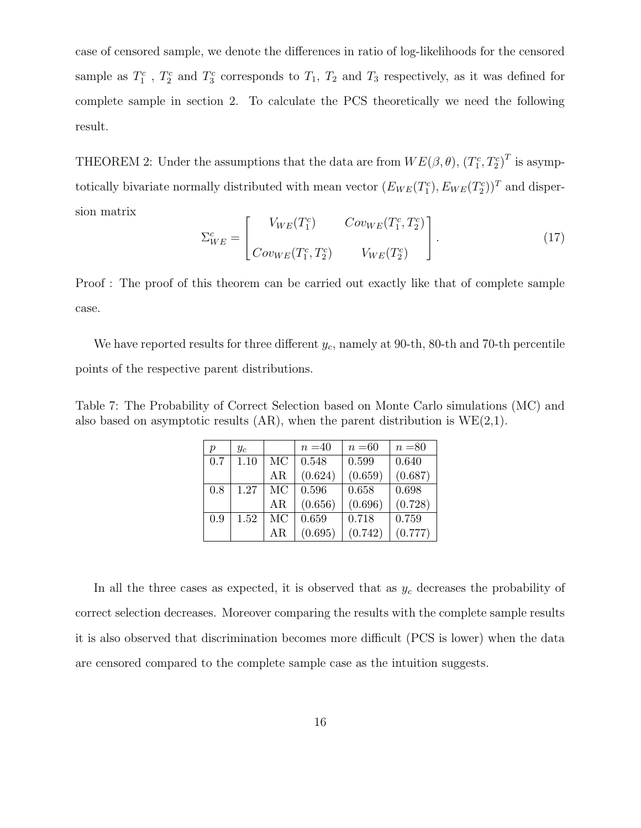case of censored sample, we denote the differences in ratio of log-likelihoods for the censored sample as  $T_1^c$ ,  $T_2^c$  and  $T_3^c$  corresponds to  $T_1$ ,  $T_2$  and  $T_3$  respectively, as it was defined for complete sample in section 2. To calculate the PCS theoretically we need the following result.

THEOREM 2: Under the assumptions that the data are from  $WE(\beta, \theta)$ ,  $(T_1^c, T_2^c)^T$  is asymptotically bivariate normally distributed with mean vector  $(E_{WE}(T_1^c), E_{WE}(T_2^c))^T$  and dispersion matrix

$$
\Sigma_{WE}^{c} = \begin{bmatrix} V_{WE}(T_1^c) & Cov_{WE}(T_1^c, T_2^c) \\ Cov_{WE}(T_1^c, T_2^c) & V_{WE}(T_2^c) \end{bmatrix} . \tag{17}
$$

Proof : The proof of this theorem can be carried out exactly like that of complete sample case.

We have reported results for three different  $y_c$ , namely at 90-th, 80-th and 70-th percentile points of the respective parent distributions.

Table 7: The Probability of Correct Selection based on Monte Carlo simulations (MC) and also based on asymptotic results  $(AR)$ , when the parent distribution is  $WE(2,1)$ .

| $\boldsymbol{p}$ | $y_c$ |    | $n = 40$ | $n = 60$ | $n = 80$ |
|------------------|-------|----|----------|----------|----------|
| 0.7              | 1.10  | MC | 0.548    | 0.599    | 0.640    |
|                  |       | ΑR | (0.624)  | (0.659)  | (0.687)  |
| 0.8              | 1.27  | МC | 0.596    | 0.658    | 0.698    |
|                  |       | ΑR | (0.656)  | (0.696)  | (0.728)  |
| 0.9              | 1.52  | МC | 0.659    | 0.718    | 0.759    |
|                  |       | ΑR | (0.695)  | (0.742)  | (0.777)  |

In all the three cases as expected, it is observed that as  $y_c$  decreases the probability of correct selection decreases. Moreover comparing the results with the complete sample results it is also observed that discrimination becomes more difficult (PCS is lower) when the data are censored compared to the complete sample case as the intuition suggests.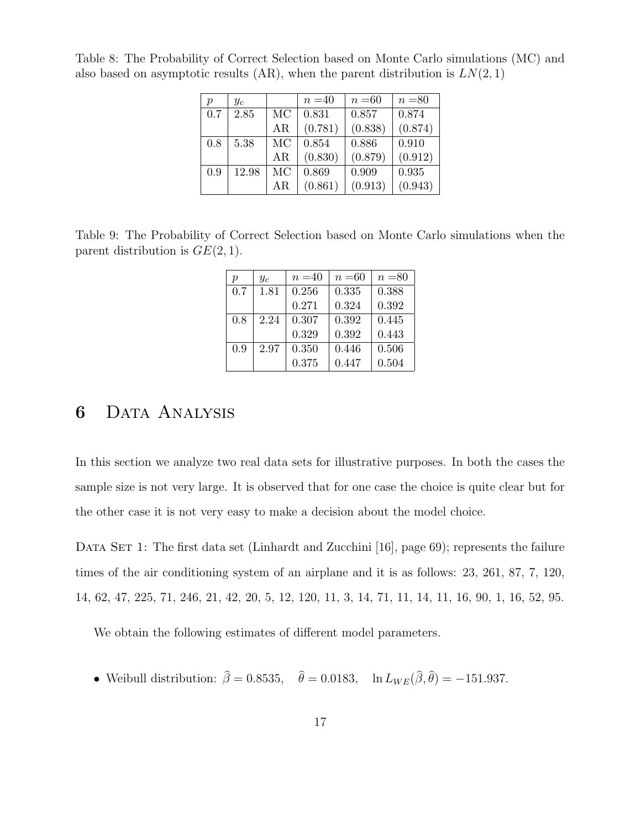| $\boldsymbol{p}$ | $y_c$ |     | $n = 40$ | $n = 60$ | $n = 80$ |
|------------------|-------|-----|----------|----------|----------|
| 0.7              | 2.85  | MC  | 0.831    | 0.857    | 0.874    |
|                  |       | AR  | (0.781)  | (0.838)  | (0.874)  |
| 0.8              | 5.38  | MC  | 0.854    | 0.886    | 0.910    |
|                  |       | AR  | (0.830)  | (0.879)  | (0.912)  |
| 0.9              | 12.98 | MC  | 0.869    | 0.909    | 0.935    |
|                  |       | AR. | (0.861)  | (0.913)  | (0.943)  |

Table 8: The Probability of Correct Selection based on Monte Carlo simulations (MC) and also based on asymptotic results  $(AR)$ , when the parent distribution is  $LN(2, 1)$ 

Table 9: The Probability of Correct Selection based on Monte Carlo simulations when the parent distribution is  $GE(2, 1)$ .

| р   | $y_c$ | $n = 40$ | $n = 60$ | $n = 80$ |
|-----|-------|----------|----------|----------|
| 0.7 | 1.81  | 0.256    | 0.335    | 0.388    |
|     |       | 0.271    | 0.324    | 0.392    |
| 0.8 | 2.24  | 0.307    | 0.392    | 0.445    |
|     |       | 0.329    | 0.392    | 0.443    |
| 0.9 | 2.97  | 0.350    | 0.446    | 0.506    |
|     |       | 0.375    | 0.447    | 0.504    |

### 6 Data Analysis

In this section we analyze two real data sets for illustrative purposes. In both the cases the sample size is not very large. It is observed that for one case the choice is quite clear but for the other case it is not very easy to make a decision about the model choice.

DATA SET 1: The first data set (Linhardt and Zucchini [16], page 69); represents the failure times of the air conditioning system of an airplane and it is as follows: 23, 261, 87, 7, 120, 14, 62, 47, 225, 71, 246, 21, 42, 20, 5, 12, 120, 11, 3, 14, 71, 11, 14, 11, 16, 90, 1, 16, 52, 95.

We obtain the following estimates of different model parameters.

• Weibull distribution:  $\beta = 0.8535$ ,  $\theta = 0.0183$ ,  $\ln L_{WE}(\beta, \theta) = -151.937$ .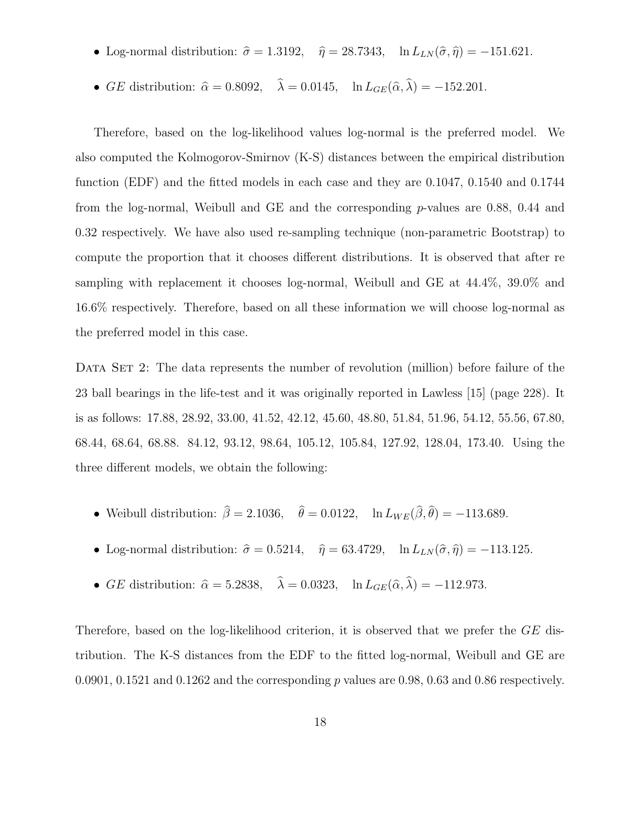- Log-normal distribution:  $\hat{\sigma} = 1.3192$ ,  $\hat{\eta} = 28.7343$ , ln  $L_{LN} (\hat{\sigma}, \hat{\eta}) = -151.621$ .
- GE distribution:  $\hat{\alpha} = 0.8092, \quad \lambda = 0.0145, \quad \ln L_{GE}(\hat{\alpha}, \lambda) = -152.201.$

Therefore, based on the log-likelihood values log-normal is the preferred model. We also computed the Kolmogorov-Smirnov (K-S) distances between the empirical distribution function (EDF) and the fitted models in each case and they are 0.1047, 0.1540 and 0.1744 from the log-normal, Weibull and GE and the corresponding  $p$ -values are 0.88, 0.44 and 0.32 respectively. We have also used re-sampling technique (non-parametric Bootstrap) to compute the proportion that it chooses different distributions. It is observed that after re sampling with replacement it chooses log-normal, Weibull and GE at 44.4%, 39.0% and 16.6% respectively. Therefore, based on all these information we will choose log-normal as the preferred model in this case.

DATA SET 2: The data represents the number of revolution (million) before failure of the 23 ball bearings in the life-test and it was originally reported in Lawless [15] (page 228). It is as follows: 17.88, 28.92, 33.00, 41.52, 42.12, 45.60, 48.80, 51.84, 51.96, 54.12, 55.56, 67.80, 68.44, 68.64, 68.88. 84.12, 93.12, 98.64, 105.12, 105.84, 127.92, 128.04, 173.40. Using the three different models, we obtain the following:

- Weibull distribution:  $\beta = 2.1036$ ,  $\theta = 0.0122$ ,  $\ln L_{WE}(\beta, \theta) = -113.689$ .
- Log-normal distribution:  $\hat{\sigma} = 0.5214$ ,  $\hat{\eta} = 63.4729$ , ln  $L_{LN} (\hat{\sigma}, \hat{\eta}) = -113.125$ .
- GE distribution:  $\hat{\alpha} = 5.2838, \quad \lambda = 0.0323, \quad \ln L_{GE}(\hat{\alpha}, \lambda) = -112.973.$

Therefore, based on the log-likelihood criterion, it is observed that we prefer the GE distribution. The K-S distances from the EDF to the fitted log-normal, Weibull and GE are 0.0901, 0.1521 and 0.1262 and the corresponding p values are 0.98, 0.63 and 0.86 respectively.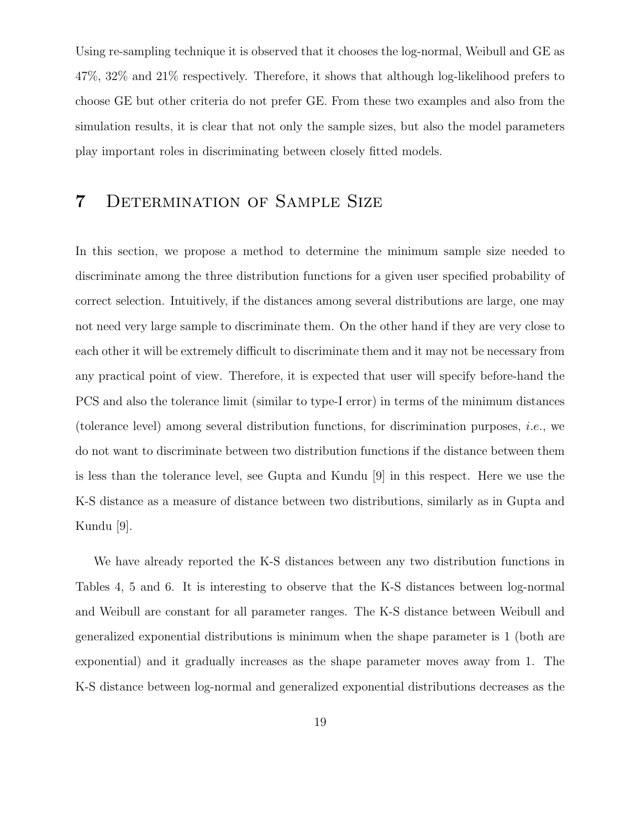Using re-sampling technique it is observed that it chooses the log-normal, Weibull and GE as 47%, 32% and 21% respectively. Therefore, it shows that although log-likelihood prefers to choose GE but other criteria do not prefer GE. From these two examples and also from the simulation results, it is clear that not only the sample sizes, but also the model parameters play important roles in discriminating between closely fitted models.

#### 7 Determination of Sample Size

In this section, we propose a method to determine the minimum sample size needed to discriminate among the three distribution functions for a given user specified probability of correct selection. Intuitively, if the distances among several distributions are large, one may not need very large sample to discriminate them. On the other hand if they are very close to each other it will be extremely difficult to discriminate them and it may not be necessary from any practical point of view. Therefore, it is expected that user will specify before-hand the PCS and also the tolerance limit (similar to type-I error) in terms of the minimum distances (tolerance level) among several distribution functions, for discrimination purposes, i.e., we do not want to discriminate between two distribution functions if the distance between them is less than the tolerance level, see Gupta and Kundu [9] in this respect. Here we use the K-S distance as a measure of distance between two distributions, similarly as in Gupta and Kundu [9].

We have already reported the K-S distances between any two distribution functions in Tables 4, 5 and 6. It is interesting to observe that the K-S distances between log-normal and Weibull are constant for all parameter ranges. The K-S distance between Weibull and generalized exponential distributions is minimum when the shape parameter is 1 (both are exponential) and it gradually increases as the shape parameter moves away from 1. The K-S distance between log-normal and generalized exponential distributions decreases as the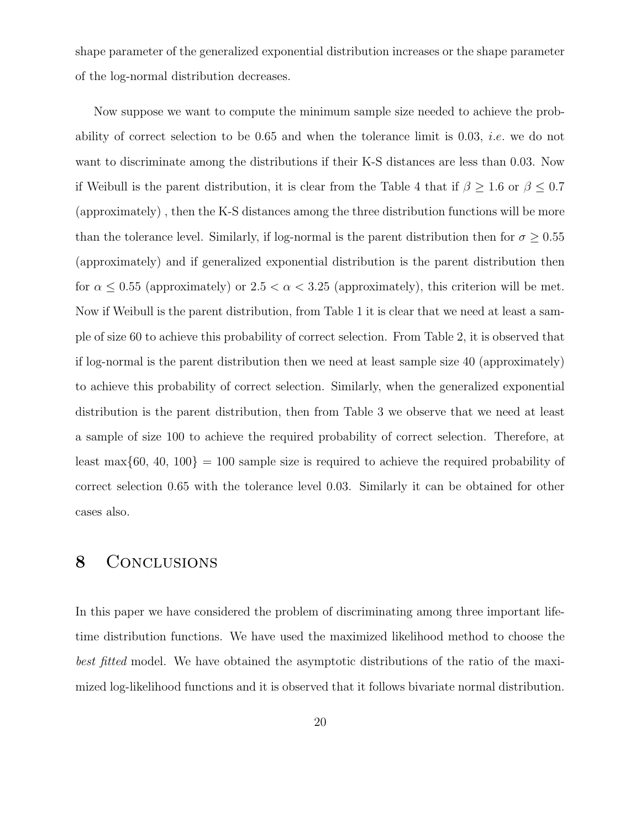shape parameter of the generalized exponential distribution increases or the shape parameter of the log-normal distribution decreases.

Now suppose we want to compute the minimum sample size needed to achieve the probability of correct selection to be  $0.65$  and when the tolerance limit is  $0.03$ , *i.e.* we do not want to discriminate among the distributions if their K-S distances are less than 0.03. Now if Weibull is the parent distribution, it is clear from the Table 4 that if  $\beta \geq 1.6$  or  $\beta \leq 0.7$ (approximately) , then the K-S distances among the three distribution functions will be more than the tolerance level. Similarly, if log-normal is the parent distribution then for  $\sigma \geq 0.55$ (approximately) and if generalized exponential distribution is the parent distribution then for  $\alpha \leq 0.55$  (approximately) or  $2.5 < \alpha < 3.25$  (approximately), this criterion will be met. Now if Weibull is the parent distribution, from Table 1 it is clear that we need at least a sample of size 60 to achieve this probability of correct selection. From Table 2, it is observed that if log-normal is the parent distribution then we need at least sample size 40 (approximately) to achieve this probability of correct selection. Similarly, when the generalized exponential distribution is the parent distribution, then from Table 3 we observe that we need at least a sample of size 100 to achieve the required probability of correct selection. Therefore, at least max $\{60, 40, 100\} = 100$  sample size is required to achieve the required probability of correct selection 0.65 with the tolerance level 0.03. Similarly it can be obtained for other cases also.

#### 8 CONCLUSIONS

In this paper we have considered the problem of discriminating among three important lifetime distribution functions. We have used the maximized likelihood method to choose the best fitted model. We have obtained the asymptotic distributions of the ratio of the maximized log-likelihood functions and it is observed that it follows bivariate normal distribution.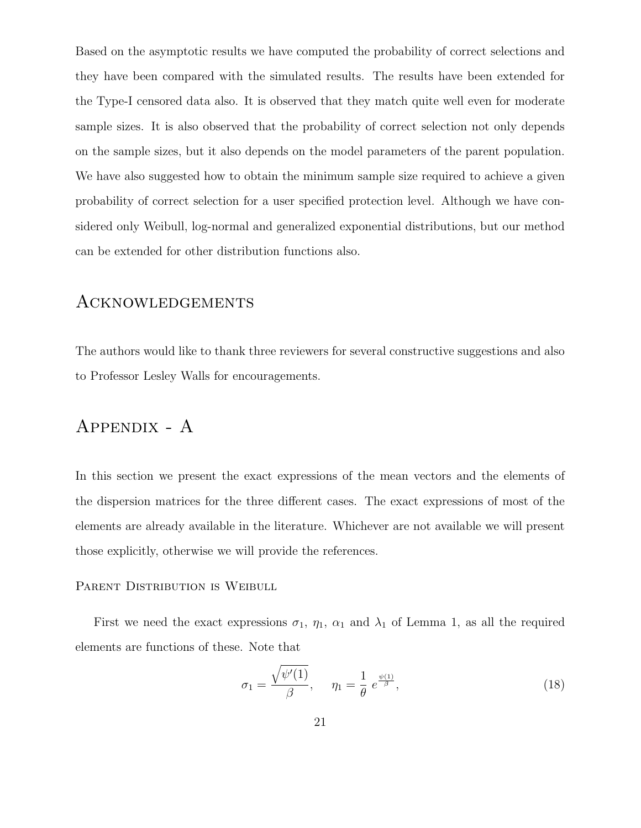Based on the asymptotic results we have computed the probability of correct selections and they have been compared with the simulated results. The results have been extended for the Type-I censored data also. It is observed that they match quite well even for moderate sample sizes. It is also observed that the probability of correct selection not only depends on the sample sizes, but it also depends on the model parameters of the parent population. We have also suggested how to obtain the minimum sample size required to achieve a given probability of correct selection for a user specified protection level. Although we have considered only Weibull, log-normal and generalized exponential distributions, but our method can be extended for other distribution functions also.

#### Acknowledgements

The authors would like to thank three reviewers for several constructive suggestions and also to Professor Lesley Walls for encouragements.

### Appendix - A

In this section we present the exact expressions of the mean vectors and the elements of the dispersion matrices for the three different cases. The exact expressions of most of the elements are already available in the literature. Whichever are not available we will present those explicitly, otherwise we will provide the references.

#### PARENT DISTRIBUTION IS WEIBULL

First we need the exact expressions  $\sigma_1$ ,  $\eta_1$ ,  $\alpha_1$  and  $\lambda_1$  of Lemma 1, as all the required elements are functions of these. Note that

$$
\sigma_1 = \frac{\sqrt{\psi'(1)}}{\beta}, \quad \eta_1 = \frac{1}{\theta} e^{\frac{\psi(1)}{\beta}}, \tag{18}
$$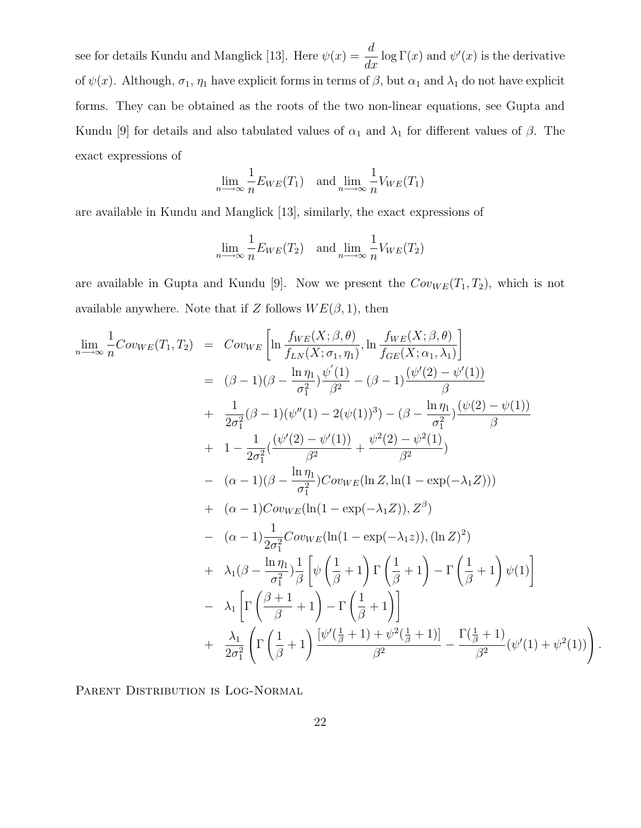see for details Kundu and Manglick [13]. Here  $\psi(x) =$ d  $\frac{d}{dx}$  log  $\Gamma(x)$  and  $\psi'(x)$  is the derivative of  $\psi(x)$ . Although,  $\sigma_1$ ,  $\eta_1$  have explicit forms in terms of  $\beta$ , but  $\alpha_1$  and  $\lambda_1$  do not have explicit forms. They can be obtained as the roots of the two non-linear equations, see Gupta and Kundu [9] for details and also tabulated values of  $\alpha_1$  and  $\lambda_1$  for different values of  $\beta$ . The exact expressions of

$$
\lim_{n \to \infty} \frac{1}{n} E_{WE}(T_1) \quad \text{and } \lim_{n \to \infty} \frac{1}{n} V_{WE}(T_1)
$$

are available in Kundu and Manglick [13], similarly, the exact expressions of

$$
\lim_{n \to \infty} \frac{1}{n} E_{WE}(T_2) \quad \text{and } \lim_{n \to \infty} \frac{1}{n} V_{WE}(T_2)
$$

are available in Gupta and Kundu [9]. Now we present the  $Cov_{WE}(T_1, T_2)$ , which is not available anywhere. Note that if Z follows  $WE(\beta, 1)$ , then

$$
\lim_{n \to \infty} \frac{1}{n} \text{Cov}_{WE}(T_1, T_2) = \text{Cov}_{WE} \left[ \ln \frac{f_{WE}(X; \beta, \theta)}{f_{LN}(X; \sigma_1, \eta_1)}, \ln \frac{f_{WE}(X; \beta, \theta)}{f_{GE}(X; \alpha_1, \lambda_1)} \right]
$$
\n
$$
= (\beta - 1)(\beta - \frac{\ln \eta_1}{\sigma_1^2}) \frac{\psi'(1)}{\beta^2} - (\beta - 1) \frac{(\psi'(2) - \psi'(1))}{\beta}
$$
\n
$$
+ \frac{1}{2\sigma_1^2} (\beta - 1)(\psi''(1) - 2(\psi(1))^3) - (\beta - \frac{\ln \eta_1}{\sigma_1^2}) \frac{(\psi(2) - \psi(1))}{\beta}
$$
\n
$$
+ 1 - \frac{1}{2\sigma_1^2} \frac{(\psi'(2) - \psi'(1))}{\beta^2} + \frac{\psi^2(2) - \psi^2(1)}{\beta^2}
$$
\n
$$
- (\alpha - 1)(\beta - \frac{\ln \eta_1}{\sigma_1^2}) \text{Cov}_{WE}(\ln Z, \ln(1 - \exp(-\lambda_1 Z)))
$$
\n
$$
+ (\alpha - 1) \text{Cov}_{WE}(\ln(1 - \exp(-\lambda_1 Z)), Z^{\beta})
$$
\n
$$
- (\alpha - 1) \frac{1}{2\sigma_1^2} \text{Cov}_{WE}(\ln(1 - \exp(-\lambda_1 Z)), (\ln Z)^2)
$$
\n
$$
+ \lambda_1 (\beta - \frac{\ln \eta_1}{\sigma_1^2}) \frac{1}{\beta} \left[ \psi \left( \frac{1}{\beta} + 1 \right) \Gamma \left( \frac{1}{\beta} + 1 \right) - \Gamma \left( \frac{1}{\beta} + 1 \right) \psi(1) \right]
$$
\n
$$
- \lambda_1 \left[ \Gamma \left( \frac{\beta + 1}{\beta} + 1 \right) - \Gamma \left( \frac{1}{\beta} + 1 \right) \right]
$$
\n
$$
+ \frac{\lambda_1}{2\sigma_1^2} \left( \Gamma \left( \frac{1}{\beta} + 1 \right) \frac{[\psi'(\frac{1}{\beta} + 1) + \psi^2(\frac{1}{\beta} + 1)]}{\beta
$$

PARENT DISTRIBUTION IS LOG-NORMAL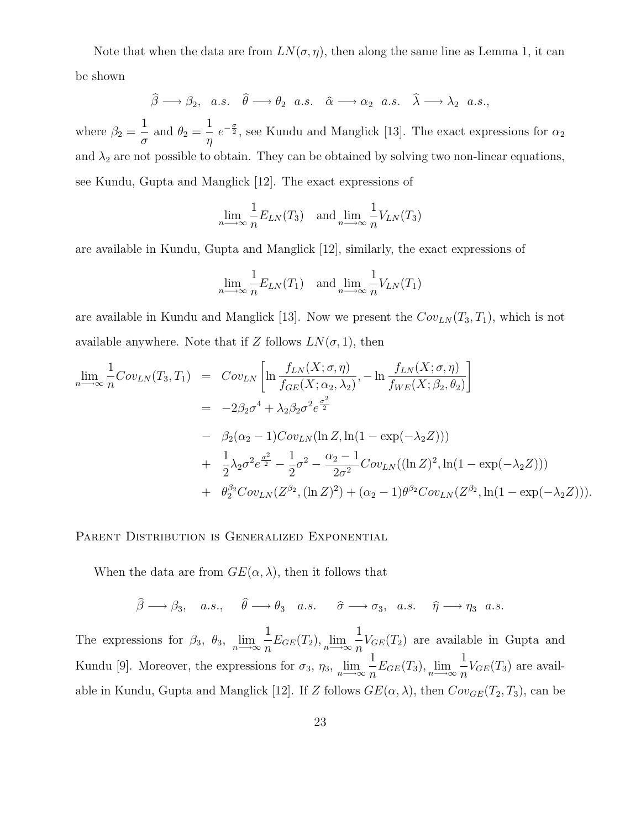Note that when the data are from  $LN(\sigma, \eta)$ , then along the same line as Lemma 1, it can be shown

$$
\hat{\beta} \longrightarrow \beta_2
$$
, a.s.  $\hat{\theta} \longrightarrow \theta_2$  a.s.  $\hat{\alpha} \longrightarrow \alpha_2$  a.s.  $\hat{\lambda} \longrightarrow \lambda_2$  a.s.,

where  $\beta_2 = \frac{1}{2}$  $rac{1}{\sigma}$  and  $\theta_2 = \frac{1}{\eta}$ η  $e^{-\frac{\sigma}{2}}$ , see Kundu and Manglick [13]. The exact expressions for  $\alpha_2$ and  $\lambda_2$  are not possible to obtain. They can be obtained by solving two non-linear equations, see Kundu, Gupta and Manglick [12]. The exact expressions of

$$
\lim_{n \to \infty} \frac{1}{n} E_{LN}(T_3) \quad \text{and } \lim_{n \to \infty} \frac{1}{n} V_{LN}(T_3)
$$

are available in Kundu, Gupta and Manglick [12], similarly, the exact expressions of

$$
\lim_{n \to \infty} \frac{1}{n} E_{LN}(T_1) \quad \text{and } \lim_{n \to \infty} \frac{1}{n} V_{LN}(T_1)
$$

are available in Kundu and Manglick [13]. Now we present the  $Cov_{LN}(T_3, T_1)$ , which is not available anywhere. Note that if Z follows  $LN(\sigma, 1)$ , then

$$
\lim_{n \to \infty} \frac{1}{n} Cov_{LN}(T_3, T_1) = Cov_{LN} \left[ \ln \frac{f_{LN}(X; \sigma, \eta)}{f_{GE}(X; \alpha_2, \lambda_2)}, - \ln \frac{f_{LN}(X; \sigma, \eta)}{f_{WE}(X; \beta_2, \theta_2)} \right]
$$
  
\n
$$
= -2\beta_2 \sigma^4 + \lambda_2 \beta_2 \sigma^2 e^{\frac{\sigma^2}{2}}
$$
  
\n
$$
- \beta_2 (\alpha_2 - 1) Cov_{LN} (\ln Z, \ln(1 - \exp(-\lambda_2 Z)))
$$
  
\n
$$
+ \frac{1}{2} \lambda_2 \sigma^2 e^{\frac{\sigma^2}{2}} - \frac{1}{2} \sigma^2 - \frac{\alpha_2 - 1}{2\sigma^2} Cov_{LN}((\ln Z)^2, \ln(1 - \exp(-\lambda_2 Z)))
$$
  
\n
$$
+ \theta_2^{\beta_2} Cov_{LN}(Z^{\beta_2}, (\ln Z)^2) + (\alpha_2 - 1) \theta^{\beta_2} Cov_{LN}(Z^{\beta_2}, \ln(1 - \exp(-\lambda_2 Z))).
$$

PARENT DISTRIBUTION IS GENERALIZED EXPONENTIAL

When the data are from  $GE(\alpha, \lambda)$ , then it follows that

$$
\widehat{\beta} \longrightarrow \beta_3
$$
, a.s.,  $\widehat{\theta} \longrightarrow \theta_3$  a.s.  $\widehat{\sigma} \longrightarrow \sigma_3$ , a.s.  $\widehat{\eta} \longrightarrow \eta_3$  a.s.

The expressions for  $\beta_3$ ,  $\theta_3$ ,  $\lim_{n \to \infty} \frac{1}{n}$  $\frac{1}{n}E_{GE}(T_2), \lim_{n\longrightarrow\infty}\frac{1}{n}$  $\frac{1}{n}V_{GE}(T_2)$  are available in Gupta and Kundu [9]. Moreover, the expressions for  $\sigma_3$ ,  $\eta_3$ ,  $\lim_{n\to\infty} \frac{1}{n}$  $\frac{1}{n}E_{GE}(T_3), \lim_{n\longrightarrow\infty}\frac{1}{n}$  $\frac{1}{n}V_{GE}(T_3)$  are available in Kundu, Gupta and Manglick [12]. If Z follows  $GE(\alpha, \lambda)$ , then  $Cov_{GE}(T_2, T_3)$ , can be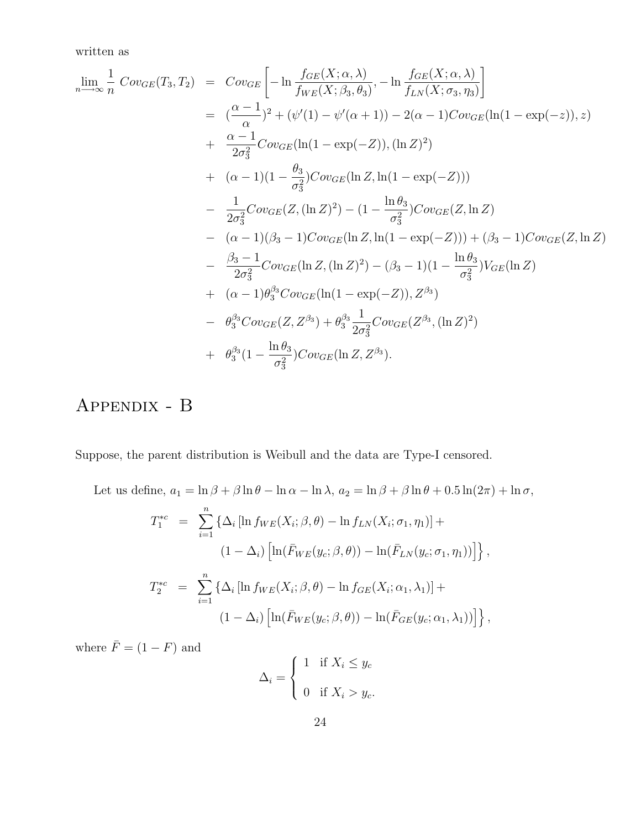written as

$$
\lim_{n \to \infty} \frac{1}{n} Cov_{GE}(T_3, T_2) = Cov_{GE} \left[ -\ln \frac{f_{GE}(X; \alpha, \lambda)}{f_{WE}(X; \beta_3, \theta_3)}, -\ln \frac{f_{GE}(X; \alpha, \lambda)}{f_{LN}(X; \sigma_3, \eta_3)} \right]
$$
  
\n
$$
= \left( \frac{\alpha - 1}{\alpha} \right)^2 + (\psi'(1) - \psi'(\alpha + 1)) - 2(\alpha - 1)Cov_{GE}(\ln(1 - \exp(-z)), z)
$$
  
\n
$$
+ \frac{\alpha - 1}{2\sigma_3^2} Cov_{GE}(\ln(1 - \exp(-Z)), (\ln Z)^2)
$$
  
\n
$$
+ (\alpha - 1)(1 - \frac{\theta_3}{\sigma_3^2})Cov_{GE}(\ln Z, \ln(1 - \exp(-Z)))
$$
  
\n
$$
- \frac{1}{2\sigma_3^2} Cov_{GE}(Z, (\ln Z)^2) - (1 - \frac{\ln \theta_3}{\sigma_3^2})Cov_{GE}(Z, \ln Z)
$$
  
\n
$$
- (\alpha - 1)(\beta_3 - 1)Cov_{GE}(\ln Z, \ln(1 - \exp(-Z))) + (\beta_3 - 1)Cov_{GE}(Z, \ln Z)
$$
  
\n
$$
- \frac{\beta_3 - 1}{2\sigma_3^2} Cov_{GE}(\ln Z, (\ln Z)^2) - (\beta_3 - 1)(1 - \frac{\ln \theta_3}{\sigma_3^2})V_{GE}(\ln Z)
$$
  
\n
$$
+ (\alpha - 1)\theta_3^{\beta_3}Cov_{GE}(\ln(1 - \exp(-Z)), Z^{\beta_3})
$$
  
\n
$$
- \theta_3^{\beta_3}Cov_{GE}(Z, Z^{\beta_3}) + \theta_3^{\beta_3} \frac{1}{2\sigma_3^2}Cov_{GE}(Z^{\beta_3}, (\ln Z)^2)
$$
  
\n
$$
+ \theta_3^{\beta_3} (1 - \frac{\ln \theta_3}{\sigma_3^2})Cov_{GE}(\ln Z, Z^{\beta_3}).
$$

## Appendix - B

Suppose, the parent distribution is Weibull and the data are Type-I censored.

Let us define,  $a_1 = \ln \beta + \beta \ln \theta - \ln \alpha - \ln \lambda$ ,  $a_2 = \ln \beta + \beta \ln \theta + 0.5 \ln(2\pi) + \ln \sigma$ ,

$$
T_1^{*c} = \sum_{i=1}^n \left\{ \Delta_i \left[ \ln f_{WE}(X_i; \beta, \theta) - \ln f_{LN}(X_i; \sigma_1, \eta_1) \right] +
$$
  
\n
$$
(1 - \Delta_i) \left[ \ln(\bar{F}_{WE}(y_c; \beta, \theta)) - \ln(\bar{F}_{LN}(y_c; \sigma_1, \eta_1)) \right] \right\},
$$
  
\n
$$
T_2^{*c} = \sum_{i=1}^n \left\{ \Delta_i \left[ \ln f_{WE}(X_i; \beta, \theta) - \ln f_{GE}(X_i; \alpha_1, \lambda_1) \right] +
$$
  
\n
$$
(1 - \Delta_i) \left[ \ln(\bar{F}_{WE}(y_c; \beta, \theta)) - \ln(\bar{F}_{GE}(y_c; \alpha_1, \lambda_1)) \right] \right\},
$$

where  $\bar{F} = (1 - F)$  and

$$
\Delta_i = \begin{cases} 1 & \text{if } X_i \le y_c \\ 0 & \text{if } X_i > y_c. \end{cases}
$$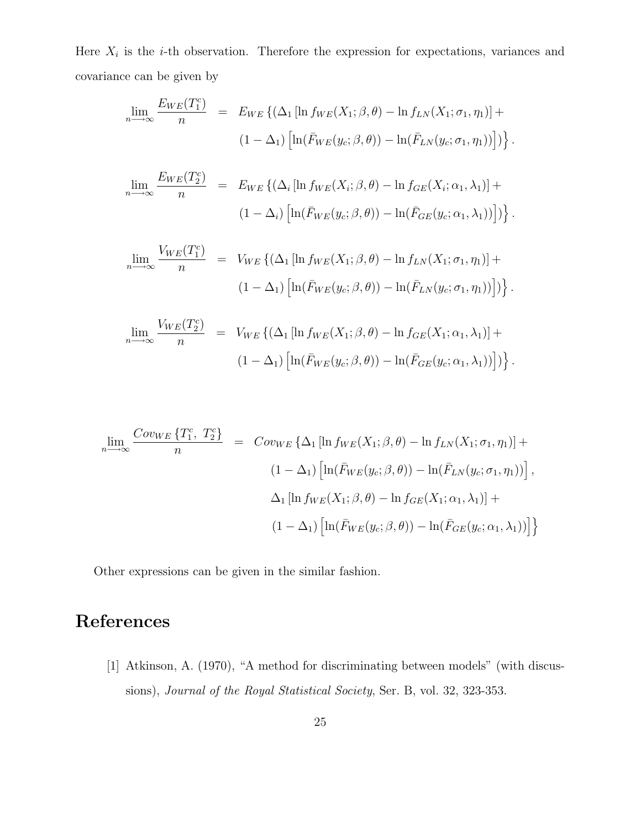Here  $X_i$  is the *i*-th observation. Therefore the expression for expectations, variances and covariance can be given by

$$
\lim_{n \to \infty} \frac{E_{WE}(T_1^c)}{n} = E_{WE} \left\{ (\Delta_1 \left[ \ln f_{WE}(X_1; \beta, \theta) - \ln f_{LN}(X_1; \sigma_1, \eta_1) \right] + (1 - \Delta_1) \left[ \ln(\bar{F}_{WE}(y_c; \beta, \theta)) - \ln(\bar{F}_{LN}(y_c; \sigma_1, \eta_1)) \right] \right\}.
$$

$$
\lim_{n \to \infty} \frac{E_{WE}(T_2^c)}{n} = E_{WE} \{ (\Delta_i [\ln f_{WE}(X_i; \beta, \theta) - \ln f_{GE}(X_i; \alpha_1, \lambda_1)] + (1 - \Delta_i) [\ln(\bar{F}_{WE}(y_c; \beta, \theta)) - \ln(\bar{F}_{GE}(y_c; \alpha_1, \lambda_1))] ) \}.
$$

$$
\lim_{n \to \infty} \frac{V_{WE}(T_1^c)}{n} = V_{WE} \left\{ (\Delta_1 \left[ \ln f_{WE}(X_1; \beta, \theta) - \ln f_{LN}(X_1; \sigma_1, \eta_1) \right] + (1 - \Delta_1) \left[ \ln(\bar{F}_{WE}(y_c; \beta, \theta)) - \ln(\bar{F}_{LN}(y_c; \sigma_1, \eta_1)) \right] \right\}.
$$

$$
\lim_{n \to \infty} \frac{V_{WE}(T_2^c)}{n} = V_{WE} \left\{ (\Delta_1 \left[ \ln f_{WE}(X_1; \beta, \theta) - \ln f_{GE}(X_1; \alpha_1, \lambda_1) \right] + (1 - \Delta_1) \left[ \ln(\bar{F}_{WE}(y_c; \beta, \theta)) - \ln(\bar{F}_{GE}(y_c; \alpha_1, \lambda_1)) \right] \right\}.
$$

$$
\lim_{n \to \infty} \frac{Cov_{WE} \{T_1^c, T_2^c\}}{n} = Cov_{WE} \{\Delta_1 [\ln f_{WE}(X_1; \beta, \theta) - \ln f_{LN}(X_1; \sigma_1, \eta_1)] +
$$
  

$$
(1 - \Delta_1) [\ln(\bar{F}_{WE}(y_c; \beta, \theta)) - \ln(\bar{F}_{LN}(y_c; \sigma_1, \eta_1))],
$$
  

$$
\Delta_1 [\ln f_{WE}(X_1; \beta, \theta) - \ln f_{GE}(X_1; \alpha_1, \lambda_1)] +
$$
  

$$
(1 - \Delta_1) [\ln(\bar{F}_{WE}(y_c; \beta, \theta)) - \ln(\bar{F}_{GE}(y_c; \alpha_1, \lambda_1))]\}
$$

Other expressions can be given in the similar fashion.

## References

[1] Atkinson, A. (1970), "A method for discriminating between models" (with discussions), Journal of the Royal Statistical Society, Ser. B, vol. 32, 323-353.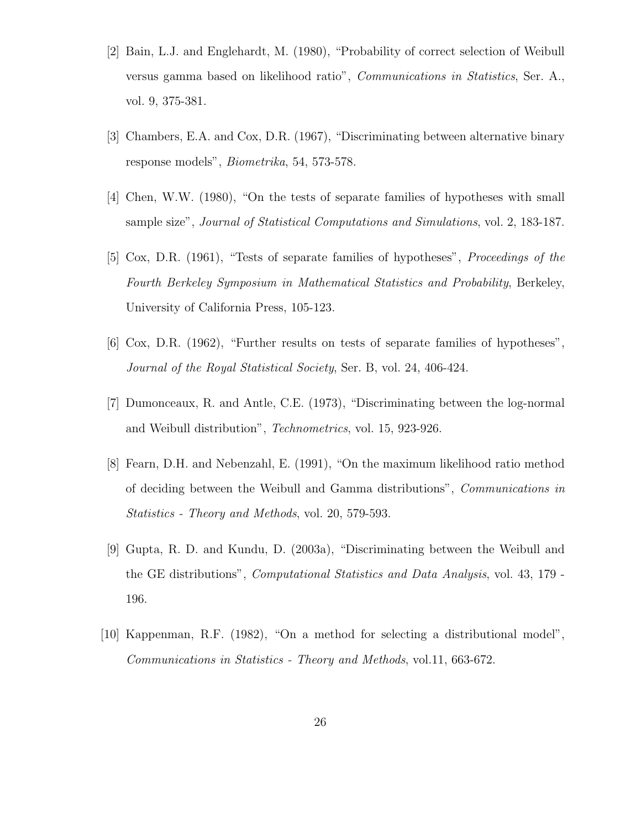- [2] Bain, L.J. and Englehardt, M. (1980), "Probability of correct selection of Weibull versus gamma based on likelihood ratio", Communications in Statistics, Ser. A., vol. 9, 375-381.
- [3] Chambers, E.A. and Cox, D.R. (1967), "Discriminating between alternative binary response models", Biometrika, 54, 573-578.
- [4] Chen, W.W. (1980), "On the tests of separate families of hypotheses with small sample size", Journal of Statistical Computations and Simulations, vol. 2, 183-187.
- [5] Cox, D.R. (1961), "Tests of separate families of hypotheses", Proceedings of the Fourth Berkeley Symposium in Mathematical Statistics and Probability, Berkeley, University of California Press, 105-123.
- [6] Cox, D.R. (1962), "Further results on tests of separate families of hypotheses", Journal of the Royal Statistical Society, Ser. B, vol. 24, 406-424.
- [7] Dumonceaux, R. and Antle, C.E. (1973), "Discriminating between the log-normal and Weibull distribution", Technometrics, vol. 15, 923-926.
- [8] Fearn, D.H. and Nebenzahl, E. (1991), "On the maximum likelihood ratio method of deciding between the Weibull and Gamma distributions", Communications in Statistics - Theory and Methods, vol. 20, 579-593.
- [9] Gupta, R. D. and Kundu, D. (2003a), "Discriminating between the Weibull and the GE distributions", *Computational Statistics and Data Analysis*, vol. 43, 179 -196.
- [10] Kappenman, R.F. (1982), "On a method for selecting a distributional model", Communications in Statistics - Theory and Methods, vol.11, 663-672.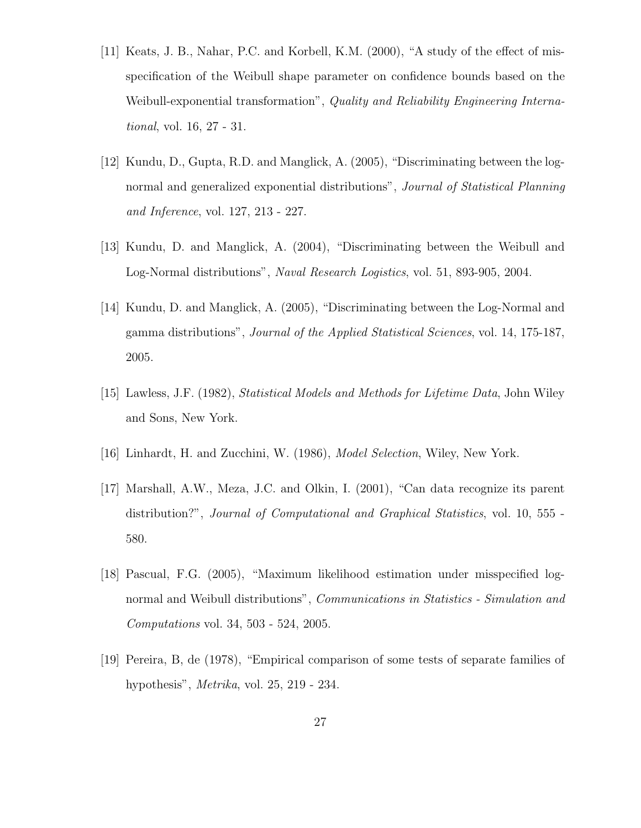- [11] Keats, J. B., Nahar, P.C. and Korbell, K.M. (2000), "A study of the effect of misspecification of the Weibull shape parameter on confidence bounds based on the Weibull-exponential transformation", Quality and Reliability Engineering International, vol. 16, 27 - 31.
- [12] Kundu, D., Gupta, R.D. and Manglick, A. (2005), "Discriminating between the lognormal and generalized exponential distributions", *Journal of Statistical Planning* and Inference, vol. 127, 213 - 227.
- [13] Kundu, D. and Manglick, A. (2004), "Discriminating between the Weibull and Log-Normal distributions", Naval Research Logistics, vol. 51, 893-905, 2004.
- [14] Kundu, D. and Manglick, A. (2005), "Discriminating between the Log-Normal and gamma distributions", Journal of the Applied Statistical Sciences, vol. 14, 175-187, 2005.
- [15] Lawless, J.F. (1982), Statistical Models and Methods for Lifetime Data, John Wiley and Sons, New York.
- [16] Linhardt, H. and Zucchini, W. (1986), Model Selection, Wiley, New York.
- [17] Marshall, A.W., Meza, J.C. and Olkin, I. (2001), "Can data recognize its parent distribution?", Journal of Computational and Graphical Statistics, vol. 10, 555 - 580.
- [18] Pascual, F.G. (2005), "Maximum likelihood estimation under misspecified lognormal and Weibull distributions", *Communications in Statistics - Simulation and* Computations vol. 34, 503 - 524, 2005.
- [19] Pereira, B, de (1978), "Empirical comparison of some tests of separate families of hypothesis", Metrika, vol. 25, 219 - 234.